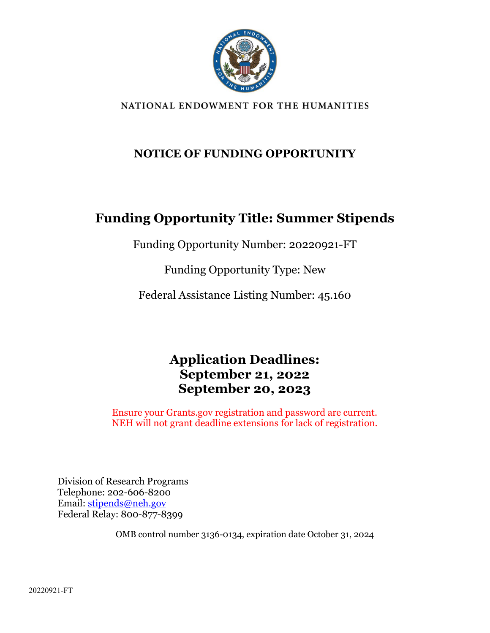

#### NATIONAL ENDOWMENT FOR THE HUMANITIES

### **NOTICE OF FUNDING OPPORTUNITY**

## **Funding Opportunity Title: Summer Stipends**

Funding Opportunity Number: 20220921-FT

Funding Opportunity Type: New

Federal Assistance Listing Number: 45.160

## **Application Deadlines: September 21, 2022 September 20, 2023**

Ensure your Grants.gov registration and password are current. NEH will not grant deadline extensions for lack of registration.

Division of Research Programs Telephone: 202-606-8200 Email: [stipends@neh.gov](mailto:stipends@neh.gov) Federal Relay: 800-877-8399

OMB control number 3136-0134, expiration date October 31, 2024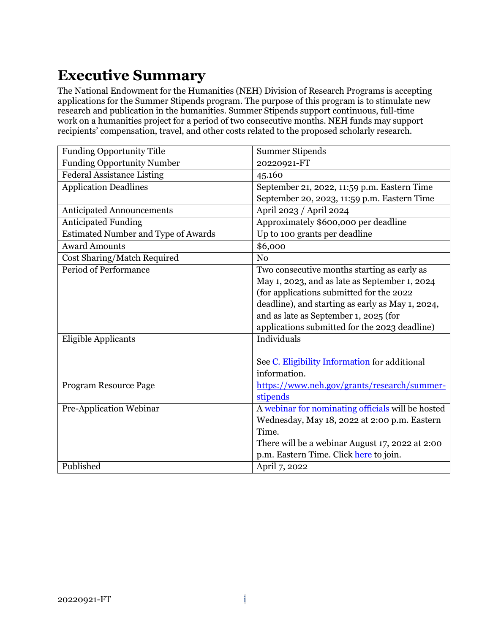# <span id="page-1-0"></span>**Executive Summary**

The National Endowment for the Humanities (NEH) Division of Research Programs is accepting applications for the Summer Stipends program. The purpose of this program is to stimulate new research and publication in the humanities. Summer Stipends support continuous, full-time work on a humanities project for a period of two consecutive months. NEH funds may support recipients' compensation, travel, and other costs related to the proposed scholarly research.

| <b>Funding Opportunity Title</b>           | <b>Summer Stipends</b>                            |  |
|--------------------------------------------|---------------------------------------------------|--|
| <b>Funding Opportunity Number</b>          | 20220921-FT                                       |  |
| <b>Federal Assistance Listing</b>          | 45.160                                            |  |
| <b>Application Deadlines</b>               | September 21, 2022, 11:59 p.m. Eastern Time       |  |
|                                            | September 20, 2023, 11:59 p.m. Eastern Time       |  |
| <b>Anticipated Announcements</b>           | April 2023 / April 2024                           |  |
| <b>Anticipated Funding</b>                 | Approximately \$600,000 per deadline              |  |
| <b>Estimated Number and Type of Awards</b> | Up to 100 grants per deadline                     |  |
| <b>Award Amounts</b>                       | \$6,000                                           |  |
| Cost Sharing/Match Required                | N <sub>o</sub>                                    |  |
| <b>Period of Performance</b>               | Two consecutive months starting as early as       |  |
|                                            | May 1, 2023, and as late as September 1, 2024     |  |
|                                            | (for applications submitted for the 2022          |  |
|                                            | deadline), and starting as early as May 1, 2024,  |  |
|                                            | and as late as September 1, 2025 (for             |  |
|                                            | applications submitted for the 2023 deadline)     |  |
| Eligible Applicants                        | Individuals                                       |  |
|                                            |                                                   |  |
|                                            | See C. Eligibility Information for additional     |  |
|                                            | information.                                      |  |
| Program Resource Page                      | https://www.neh.gov/grants/research/summer-       |  |
|                                            | stipends                                          |  |
| Pre-Application Webinar                    | A webinar for nominating officials will be hosted |  |
|                                            | Wednesday, May 18, 2022 at 2:00 p.m. Eastern      |  |
|                                            | Time.                                             |  |
|                                            | There will be a webinar August 17, 2022 at 2:00   |  |
|                                            | p.m. Eastern Time. Click here to join.            |  |
| Published                                  | April 7, 2022                                     |  |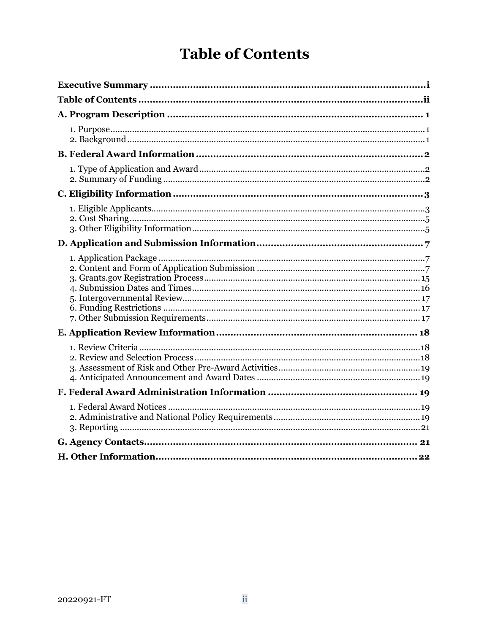# **Table of Contents**

<span id="page-2-0"></span>

| 22 |
|----|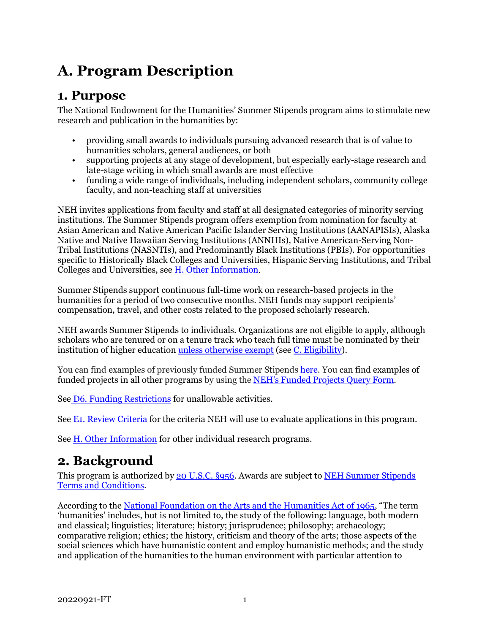# <span id="page-3-0"></span>**A. Program Description**

### <span id="page-3-1"></span>**1. Purpose**

The National Endowment for the Humanities' Summer Stipends program aims to stimulate new research and publication in the humanities by:

- providing small awards to individuals pursuing advanced research that is of value to humanities scholars, general audiences, or both
- supporting projects at any stage of development, but especially early-stage research and late-stage writing in which small awards are most effective
- funding a wide range of individuals, including independent scholars, community college faculty, and non-teaching staff at universities

NEH invites applications from faculty and staff at all designated categories of minority serving institutions. The Summer Stipends program offers exemption from nomination for faculty at Asian American and Native American Pacific Islander Serving Institutions (AANAPISIs), Alaska Native and Native Hawaiian Serving Institutions (ANNHIs), Native American-Serving Non-Tribal Institutions (NASNTIs), and Predominantly Black Institutions (PBIs). For opportunities specific to Historically Black Colleges and Universities, Hispanic Serving Institutions, and Tribal Colleges and Universities, see [H. Other Information.](#page-24-0)

Summer Stipends support continuous full-time work on research-based projects in the humanities for a period of two consecutive months. NEH funds may support recipients' compensation, travel, and other costs related to the proposed scholarly research.

NEH awards Summer Stipends to individuals. Organizations are not eligible to apply, although scholars who are tenured or on a tenure track who teach full time must be nominated by their institution of higher educatio[n unless otherwise exempt](#page-6-0) (see [C. Eligibility\)](#page-5-0).

You can find examples of previously funded Summer Stipends [here.](https://securegrants.neh.gov/publicquery/main.aspx?q=1&a=0&n=0&o=0&k=0&f=0&s=0&p=1&pv=3&d=0&y=1&yf=2018&yt=2020&prd=0&cov=0&prz=0&wp=0&pg=0&ob=year&or=DESC) You can find examples of funded projects in all other programs by using the [NEH's Funded Projects Query Form.](https://securegrants.neh.gov/publicquery/main.aspx)

See [D6. Funding Restrictions](#page-19-1) for unallowable activities.

See [E1. Review Criteria](#page-20-1) for the criteria NEH will use to evaluate applications in this program.

See [H. Other Information](#page-24-1) for other individual research programs.

## <span id="page-3-2"></span>**2. Background**

This program is authorized by [20 U.S.C. §956.](https://uscode.house.gov/view.xhtml?hl=false&edition=prelim&req=granuleid%3AUSC-prelim-title20-section956&num=0&saved=%7CKHRpdGxlOjIwIHNlY3Rpb246OTU2YSBlZGl0aW9uOnByZWxpbSk%3D%7C%7C%7C0%7Cfalse%7Cprelim) Awards are subject to [NEH Summer Stipends](https://www.neh.gov/grants/manage/neh-summer-stipends-terms-and-conditions)  [Terms and Conditions.](https://www.neh.gov/grants/manage/neh-summer-stipends-terms-and-conditions)

According to th[e National Foundation on the Arts and the Humanities Act of 1965,](https://www.neh.gov/about/history/national-foundation-arts-and-humanities-act-1965-pl-89-209) "The term 'humanities' includes, but is not limited to, the study of the following: language, both modern and classical; linguistics; literature; history; jurisprudence; philosophy; archaeology; comparative religion; ethics; the history, criticism and theory of the arts; those aspects of the social sciences which have humanistic content and employ humanistic methods; and the study and application of the humanities to the human environment with particular attention to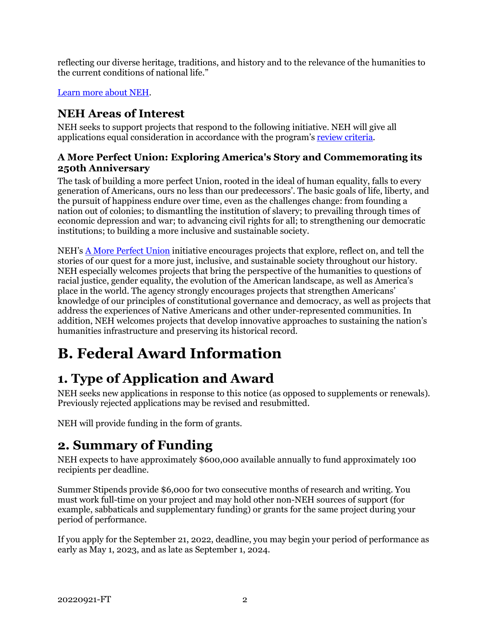reflecting our diverse heritage, traditions, and history and to the relevance of the humanities to the current conditions of national life."

#### [Learn more about NEH.](https://www.neh.gov/about)

### **NEH Areas of Interest**

NEH seeks to support projects that respond to the following initiative. NEH will give all applications equal consideration in accordance with the program's [review criteria.](#page-20-1)

#### **A More Perfect Union: Exploring America's Story and Commemorating its 250th Anniversary**

The task of building a more perfect Union, rooted in the ideal of human equality, falls to every generation of Americans, ours no less than our predecessors'. The basic goals of life, liberty, and the pursuit of happiness endure over time, even as the challenges change: from founding a nation out of colonies; to dismantling the institution of slavery; to prevailing through times of economic depression and war; to advancing civil rights for all; to strengthening our democratic institutions; to building a more inclusive and sustainable society.

NEH's [A More Perfect Union](https://www.neh.gov/250) initiative encourages projects that explore, reflect on, and tell the stories of our quest for a more just, inclusive, and sustainable society throughout our history. NEH especially welcomes projects that bring the perspective of the humanities to questions of racial justice, gender equality, the evolution of the American landscape, as well as America's place in the world. The agency strongly encourages projects that strengthen Americans' knowledge of our principles of constitutional governance and democracy, as well as projects that address the experiences of Native Americans and other under-represented communities. In addition, NEH welcomes projects that develop innovative approaches to sustaining the nation's humanities infrastructure and preserving its historical record.

# <span id="page-4-0"></span>**B. Federal Award Information**

# <span id="page-4-1"></span>**1. Type of Application and Award**

NEH seeks new applications in response to this notice (as opposed to supplements or renewals). Previously rejected applications may be revised and resubmitted.

NEH will provide funding in the form of grants.

## **2. Summary of Funding**

<span id="page-4-2"></span>NEH expects to have approximately \$600,000 available annually to fund approximately 100 recipients per deadline.

Summer Stipends provide \$6,000 for two consecutive months of research and writing. You must work full-time on your project and may hold other non-NEH sources of support (for example, sabbaticals and supplementary funding) or grants for the same project during your period of performance.

If you apply for the September 21, 2022, deadline, you may begin your period of performance as early as May 1, 2023, and as late as September 1, 2024.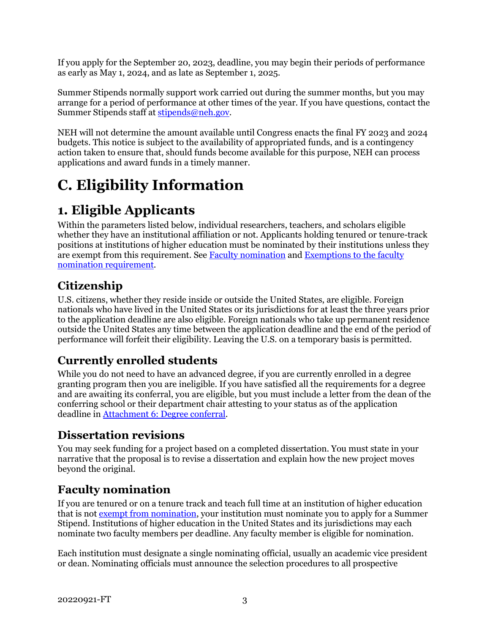If you apply for the September 20, 2023, deadline, you may begin their periods of performance as early as May 1, 2024, and as late as September 1, 2025.

Summer Stipends normally support work carried out during the summer months, but you may arrange for a period of performance at other times of the year. If you have questions, contact the Summer Stipends staff at [stipends@neh.gov.](mailto:stipends@neh.gov)

NEH will not determine the amount available until Congress enacts the final FY 2023 and 2024 budgets. This notice is subject to the availability of appropriated funds, and is a contingency action taken to ensure that, should funds become available for this purpose, NEH can process applications and award funds in a timely manner.

# <span id="page-5-0"></span>**C. Eligibility Information**

# <span id="page-5-1"></span>**1. Eligible Applicants**

Within the parameters listed below, individual researchers, teachers, and scholars eligible whether they have an institutional affiliation or not. Applicants holding tenured or tenure-track positions at institutions of higher education must be nominated by their institutions unless they are exempt from this requirement. See Faculty nomination and Exemptions to the faculty [nomination requirement.](#page-6-0)

## **Citizenship**

U.S. citizens, whether they reside inside or outside the United States, are eligible. Foreign nationals who have lived in the United States or its jurisdictions for at least the three years prior to the application deadline are also eligible. Foreign nationals who take up permanent residence outside the United States any time between the application deadline and the end of the period of performance will forfeit their eligibility. Leaving the U.S. on a temporary basis is permitted.

## **Currently enrolled students**

While you do not need to have an advanced degree, if you are currently enrolled in a degree granting program then you are ineligible. If you have satisfied all the requirements for a degree and are awaiting its conferral, you are eligible, but you must include a letter from the dean of the conferring school or their department chair attesting to your status as of the application deadline i[n Attachment 6: Degree conferral.](#page-17-1)

### **Dissertation revisions**

You may seek funding for a project based on a completed dissertation. You must state in your narrative that the proposal is to revise a dissertation and explain how the new project moves beyond the original.

## **Faculty nomination**

If you are tenured or on a tenure track and teach full time at an institution of higher education that is no[t exempt from nomination,](#page-6-0) your institution must nominate you to apply for a Summer Stipend. Institutions of higher education in the United States and its jurisdictions may each nominate two faculty members per deadline. Any faculty member is eligible for nomination.

Each institution must designate a single nominating official, usually an academic vice president or dean. Nominating officials must announce the selection procedures to all prospective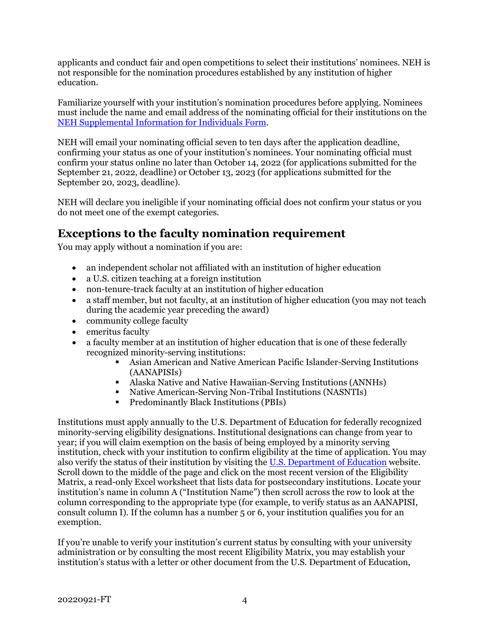applicants and conduct fair and open competitions to select their institutions' nominees. NEH is not responsible for the nomination procedures established by any institution of higher education.

Familiarize yourself with your institution's nomination procedures before applying. Nominees must include the name and email address of the nominating official for their institutions on the [NEH Supplemental Information for Individuals Form.](#page-11-0)

NEH will email your nominating official seven to ten days after the application deadline, confirming your status as one of your institution's nominees. Your nominating official must confirm your status online no later than October 14, 2022 (for applications submitted for the September 21, 2022, deadline) or October 13, 2023 (for applications submitted for the September 20, 2023, deadline).

NEH will declare you ineligible if your nominating official does not confirm your status or you do not meet one of the exempt categories.

### <span id="page-6-0"></span>**Exceptions to the faculty nomination requirement**

You may apply without a nomination if you are:

- an independent scholar not affiliated with an institution of higher education
- a U.S. citizen teaching at a foreign institution
- non-tenure-track faculty at an institution of higher education
- a staff member, but not faculty, at an institution of higher education (you may not teach during the academic year preceding the award)
- community college faculty
- emeritus faculty
- a faculty member at an institution of higher education that is one of these federally recognized minority-serving institutions:
	- Asian American and Native American Pacific Islander-Serving Institutions (AANAPISIs)
	- Alaska Native and Native Hawaiian-Serving Institutions (ANNHs)
	- Native American-Serving Non-Tribal Institutions (NASNTIs)<br>• Predominantly Black Institutions (PBIs)
	- Predominantly Black Institutions (PBIs)

Institutions must apply annually to the U.S. Department of Education for federally recognized minority-serving eligibility designations. Institutional designations can change from year to year; if you will claim exemption on the basis of being employed by a minority serving institution, check with your institution to confirm eligibility at the time of application. You may also verify the status of their institution by visiting th[e U.S. Department of Education](https://www2.ed.gov/about/offices/list/ope/idues/eligibility.html) website. Scroll down to the middle of the page and click on the most recent version of the Eligibility Matrix, a read-only Excel worksheet that lists data for postsecondary institutions. Locate your institution's name in column A ("Institution Name") then scroll across the row to look at the column corresponding to the appropriate type (for example, to verify status as an AANAPISI, consult column I). If the column has a number 5 or 6, your institution qualifies you for an exemption.

If you're unable to verify your institution's current status by consulting with your university administration or by consulting the most recent Eligibility Matrix, you may establish your institution's status with a letter or other document from the U.S. Department of Education,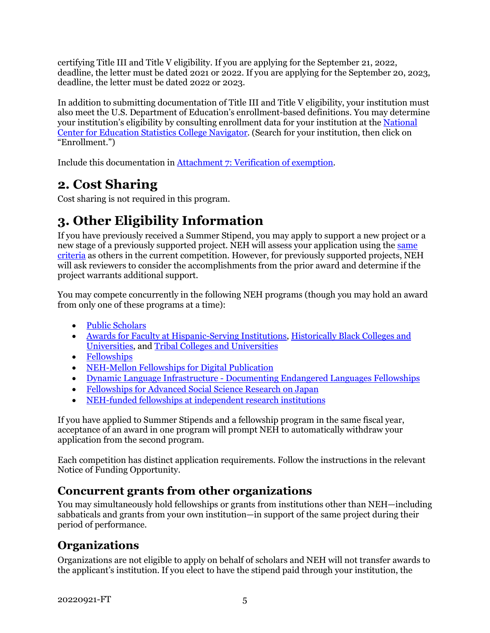certifying Title III and Title V eligibility. If you are applying for the September 21, 2022, deadline, the letter must be dated 2021 or 2022. If you are applying for the September 20, 2023, deadline, the letter must be dated 2022 or 2023.

In addition to submitting documentation of Title III and Title V eligibility, your institution must also meet the U.S. Department of Education's enrollment-based definitions. You may determine your institution's eligibility by consulting enrollment data for your institution at the National Center for Education Statistics College Navigator. (Search for your institution, then click on "Enrollment.")

<span id="page-7-0"></span>Include this documentation in [Attachment 7: Verification](#page-17-1) of exemption.

## **2. Cost Sharing**

<span id="page-7-1"></span>Cost sharing is not required in this program.

## **3. Other Eligibility Information**

If you have previously received a Summer Stipend, you may apply to support a new project or a new stage of a previously supported project. NEH will assess your application using the same [criteria](#page-20-1) as others in the current competition. However, for previously supported projects, NEH will ask reviewers to consider the accomplishments from the prior award and determine if the project warrants additional support.

You may compete concurrently in the following NEH programs (though you may hold an award from only one of these programs at a time):

- [Public Scholars](https://www.neh.gov/grants/research/public-scholar-program)
- Awards for [Faculty at Hispanic-Serving Institutions,](https://www.neh.gov/grants/research/awards-faculty-hispanic-serving-institutions) [Historically Black Colleges and](https://www.neh.gov/grants/research/awards-faculty-historically-black-colleges-and-universities)  [Universities,](https://www.neh.gov/grants/research/awards-faculty-historically-black-colleges-and-universities) and [Tribal Colleges and Universities](https://www.neh.gov/grants/research/awards-faculty-tribal-colleges-and-universities)
- [Fellowships](https://www.neh.gov/grants/research/fellowships)
- [NEH-Mellon Fellowships for Digital Publication](https://www.neh.gov/grants/research/neh-mellon-fellowships-digital-publication)
- [Dynamic Language Infrastructure Documenting Endangered Languages Fellowships](https://nehemail.sharepoint.com/teams/nofo/Shared%20Documents/NOFOs/Research/Summer%20Stipends/2022%20Program%20Resource%20Page%20Updates.docx)
- [Fellowships for Advanced Social Science Research on Japan](https://www.neh.gov/grants/research/fellowships-advanced-social-science-research-japan)
- NEH-funded fellowships at independent research institutions

If you have applied to Summer Stipends and a fellowship program in the same fiscal year, acceptance of an award in one program will prompt NEH to automatically withdraw your application from the second program.

Each competition has distinct application requirements. Follow the instructions in the relevant Notice of Funding Opportunity.

### **Concurrent grants from other organizations**

You may simultaneously hold fellowships or grants from institutions other than NEH—including sabbaticals and grants from your own institution—in support of the same project during their period of performance.

### **Organizations**

Organizations are not eligible to apply on behalf of scholars and NEH will not transfer awards to the applicant's institution. If you elect to have the stipend paid through your institution, the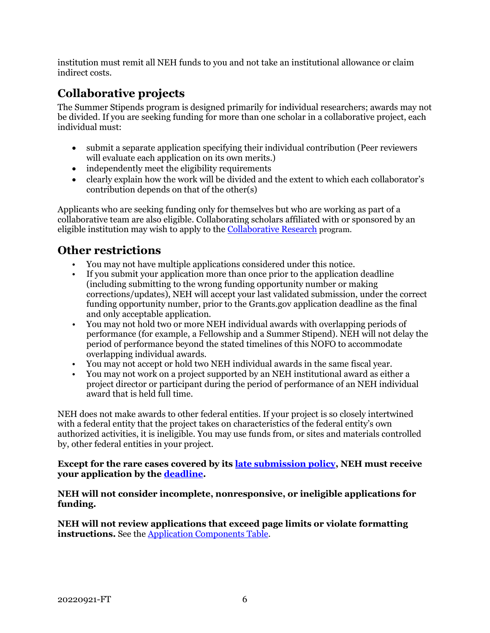institution must remit all NEH funds to you and not take an institutional allowance or claim indirect costs.

### **Collaborative projects**

The Summer Stipends program is designed primarily for individual researchers; awards may not be divided. If you are seeking funding for more than one scholar in a collaborative project, each individual must:

- submit a separate application specifying their individual contribution (Peer reviewers will evaluate each application on its own merits.)
- independently meet the eligibility requirements
- clearly explain how the work will be divided and the extent to which each collaborator's contribution depends on that of the other(s)

Applicants who are seeking funding only for themselves but who are working as part of a collaborative team are also eligible. Collaborating scholars affiliated with or sponsored by an eligible institution may wish to apply to the [Collaborative Research](https://www.neh.gov/grants/research/collaborative-research-grants) program.

### **Other restrictions**

- You may not have multiple applications considered under this notice.
- If you submit your application more than once prior to the application deadline (including submitting to the wrong funding opportunity number or making corrections/updates), NEH will accept your last validated submission, under the correct funding opportunity number, prior to the Grants.gov application deadline as the final and only acceptable application.
- You may not hold two or more NEH individual awards with overlapping periods of performance (for example, a Fellowship and a Summer Stipend). NEH will not delay the period of performance beyond the stated timelines of this NOFO to accommodate overlapping individual awards.
- You may not accept or hold two NEH individual awards in the same fiscal year.
- You may not work on a project supported by an NEH institutional award as either a project director or participant during the period of performance of an NEH individual award that is held full time.

NEH does not make awards to other federal entities. If your project is so closely intertwined with a federal entity that the project takes on characteristics of the federal entity's own authorized activities, it is ineligible. You may use funds from, or sites and materials controlled by, other federal entities in your project.

#### **Except for the rare cases covered by its [late submission policy,](https://www.neh.gov/grants/policy-on-late-submissions) NEH must receive your application by the deadline.**

#### **NEH will not consider incomplete, nonresponsive, or ineligible applications for funding.**

**NEH will not review applications that exceed page limits or violate formatting instructions.** See the [Application Components Table.](#page-9-2)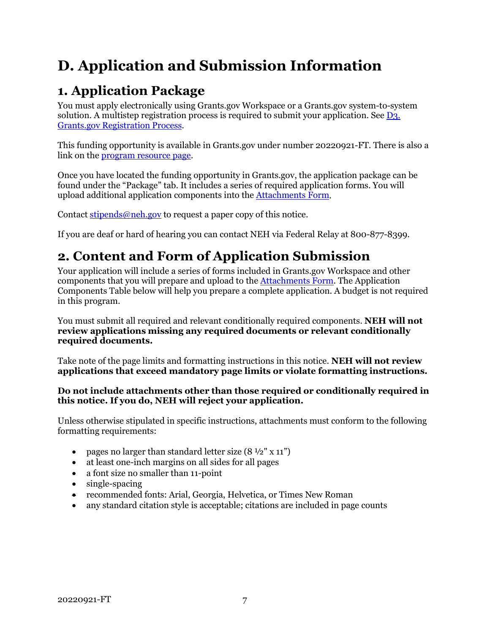# <span id="page-9-0"></span>**D. Application and Submission Information**

## <span id="page-9-1"></span>**1. Application Package**

You must apply electronically using Grants.gov Workspace or a Grants.gov system-to-system solution. A multistep registration process is required to submit your application. See [D3.](#page-17-0)  [Grants.gov Registration Process.](#page-17-0)

This funding opportunity is available in Grants.gov under number 20220921-FT. There is also a link on th[e program resource page.](https://www.neh.gov/grants/research/fellowships)

Once you have located the funding opportunity in Grants.gov, the application package can be found under the "Package" tab. It includes a series of required application forms. You will upload additional application components into the [Attachments Form.](#page-12-0)

Contact [stipends@neh.gov](mailto:stipends@neh.gov) to request a paper copy of this notice.

If you are deaf or hard of hearing you can contact NEH via Federal Relay at 800-877-8399.

## <span id="page-9-2"></span>**2. Content and Form of Application Submission**

Your application will include a series of forms included in Grants.gov Workspace and other components that you will prepare and upload to the [Attachments Form.](#page-12-0) The Application Components Table below will help you prepare a complete application. A budget is not required in this program.

You must submit all required and relevant conditionally required components. **NEH will not review applications missing any required documents or relevant conditionally required documents.**

Take note of the page limits and formatting instructions in this notice. **NEH will not review applications that exceed mandatory page limits or violate formatting instructions.**

#### **Do not include attachments other than those required or conditionally required in this notice. If you do, NEH will reject your application.**

Unless otherwise stipulated in specific instructions, attachments must conform to the following formatting requirements:

- pages no larger than standard letter size  $(8 \frac{1}{2}$ " x 11")
- at least one-inch margins on all sides for all pages
- a font size no smaller than 11-point
- single-spacing
- recommended fonts: Arial, Georgia, Helvetica, or Times New Roman
- any standard citation style is acceptable; citations are included in page counts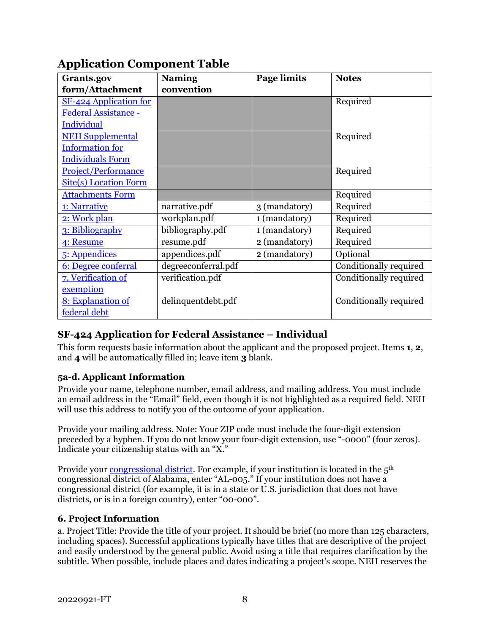| Grants.gov                   | <b>Naming</b>       | <b>Page limits</b> | <b>Notes</b>           |
|------------------------------|---------------------|--------------------|------------------------|
| form/Attachment              | convention          |                    |                        |
| SF-424 Application for       |                     |                    | Required               |
| Federal Assistance -         |                     |                    |                        |
| <b>Individual</b>            |                     |                    |                        |
| <b>NEH Supplemental</b>      |                     |                    | Required               |
| <b>Information</b> for       |                     |                    |                        |
| <b>Individuals Form</b>      |                     |                    |                        |
| Project/Performance          |                     |                    | Required               |
| <b>Site(s) Location Form</b> |                     |                    |                        |
| <b>Attachments Form</b>      |                     |                    | Required               |
| 1: Narrative                 | narrative.pdf       | 3 (mandatory)      | Required               |
| 2: Work plan                 | workplan.pdf        | 1 (mandatory)      | Required               |
| 3: Bibliography              | bibliography.pdf    | $1$ (mandatory)    | Required               |
| 4: Resume                    | resume.pdf          | 2 (mandatory)      | Required               |
| 5: Appendices                | appendices.pdf      | 2 (mandatory)      | Optional               |
| 6: Degree conferral          | degreeconferral.pdf |                    | Conditionally required |
| 7. Verification of           | verification.pdf    |                    | Conditionally required |
| exemption                    |                     |                    |                        |
| 8: Explanation of            | delinquentdebt.pdf  |                    | Conditionally required |
| federal debt                 |                     |                    |                        |

### **Application Component Table**

#### <span id="page-10-0"></span>**SF-424 Application for Federal Assistance – Individual**

This form requests basic information about the applicant and the proposed project. Items **1**, **2**, and **4** will be automatically filled in; leave item **3** blank.

#### **5a-d. Applicant Information**

Provide your name, telephone number, email address, and mailing address. You must include an email address in the "Email" field, even though it is not highlighted as a required field. NEH will use this address to notify you of the outcome of your application.

Provide your mailing address. Note: Your ZIP code must include the four-digit extension preceded by a hyphen. If you do not know your four-digit extension, use "-0000" (four zeros). Indicate your citizenship status with an "X."

Provide your <u>congressional district</u>. For example, if your institution is located in the  $5<sup>th</sup>$ congressional district of Alabama, enter "AL-005." If your institution does not have a congressional district (for example, it is in a state or U.S. jurisdiction that does not have districts, or is in a foreign country), enter "00-000".

#### **6. Project Information**

a. Project Title: Provide the title of your project. It should be brief (no more than 125 characters, including spaces). Successful applications typically have titles that are descriptive of the project and easily understood by the general public. Avoid using a title that requires clarification by the subtitle. When possible, include places and dates indicating a project's scope. NEH reserves the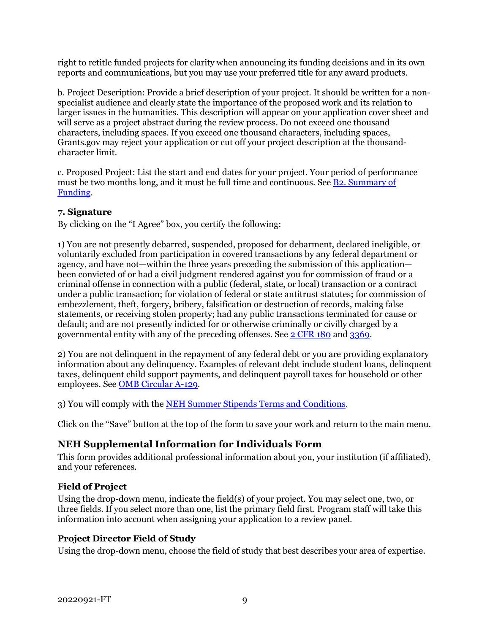right to retitle funded projects for clarity when announcing its funding decisions and in its own reports and communications, but you may use your preferred title for any award products.

b. Project Description: Provide a brief description of your project. It should be written for a nonspecialist audience and clearly state the importance of the proposed work and its relation to larger issues in the humanities. This description will appear on your application cover sheet and will serve as a project abstract during the review process. Do not exceed one thousand characters, including spaces. If you exceed one thousand characters, including spaces, Grants.gov may reject your application or cut off your project description at the thousandcharacter limit.

c. Proposed Project: List the start and end dates for your project. Your period of performance must be two months long, and it must be full time and continuous. See [B2. Summary of](#page-4-2)  [Funding.](#page-4-2)

#### **7. Signature**

By clicking on the "I Agree" box, you certify the following:

1) You are not presently debarred, suspended, proposed for debarment, declared ineligible, or voluntarily excluded from participation in covered transactions by any federal department or agency, and have not—within the three years preceding the submission of this application been convicted of or had a civil judgment rendered against you for commission of fraud or a criminal offense in connection with a public (federal, state, or local) transaction or a contract under a public transaction; for violation of federal or state antitrust statutes; for commission of embezzlement, theft, forgery, bribery, falsification or destruction of records, making false statements, or receiving stolen property; had any public transactions terminated for cause or default; and are not presently indicted for or otherwise criminally or civilly charged by a governmental entity with any of the preceding offenses. See [2 CFR 180](https://www.ecfr.gov/current/title-2/subtitle-A/chapter-I/part-180?toc=1) and [3369.](https://www.ecfr.gov/cgi-bin/text-idx?SID=902a748402bef7d8543f27adaf553773&mc=true&node=pt2.1.3369&rgn=div5)

2) You are not delinquent in the repayment of any federal debt or you are providing explanatory information about any delinquency. Examples of relevant debt include student loans, delinquent taxes, delinquent child support payments, and delinquent payroll taxes for household or other employees. See [OMB Circular A-129.](https://www.whitehouse.gov/sites/whitehouse.gov/files/omb/circulars/A129/a-129.pdf)

3) You will comply with the [NEH Summer Stipends](https://www.neh.gov/grants/manage/neh-summer-stipends-terms-and-conditions) Terms and Conditions.

Click on the "Save" button at the top of the form to save your work and return to the main menu.

#### <span id="page-11-0"></span>**NEH Supplemental Information for Individuals Form**

This form provides additional professional information about you, your institution (if affiliated), and your references.

#### **Field of Project**

Using the drop-down menu, indicate the field(s) of your project. You may select one, two, or three fields. If you select more than one, list the primary field first. Program staff will take this information into account when assigning your application to a review panel.

#### **Project Director Field of Study**

Using the drop-down menu, choose the field of study that best describes your area of expertise.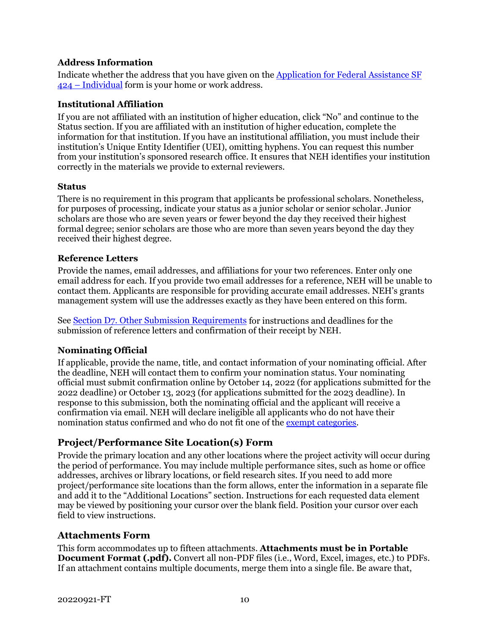#### **Address Information**

Indicate whether the address that you have given on the [Application for Federal Assistance](#page-10-0) SF [424 – Individual](#page-10-0) form is your home or work address.

#### **Institutional Affiliation**

If you are not affiliated with an institution of higher education, click "No" and continue to the Status section. If you are affiliated with an institution of higher education, complete the information for that institution. If you have an institutional affiliation, you must include their institution's Unique Entity Identifier (UEI), omitting hyphens. You can request this number from your institution's sponsored research office. It ensures that NEH identifies your institution correctly in the materials we provide to external reviewers.

#### **Status**

There is no requirement in this program that applicants be professional scholars. Nonetheless, for purposes of processing, indicate your status as a junior scholar or senior scholar. Junior scholars are those who are seven years or fewer beyond the day they received their highest formal degree; senior scholars are those who are more than seven years beyond the day they received their highest degree.

#### **Reference Letters**

Provide the names, email addresses, and affiliations for your two references. Enter only one email address for each. If you provide two email addresses for a reference, NEH will be unable to contact them. Applicants are responsible for providing accurate email addresses. NEH's grants management system will use the addresses exactly as they have been entered on this form.

See [Section D7. Other Submission Requirements](#page-19-2) for instructions and deadlines for the submission of reference letters and confirmation of their receipt by NEH.

#### **Nominating Official**

If applicable, provide the name, title, and contact information of your nominating official. After the deadline, NEH will contact them to confirm your nomination status. Your nominating official must submit confirmation online by October 14, 2022 (for applications submitted for the 2022 deadline) or October 13, 2023 (for applications submitted for the 2023 deadline). In response to this submission, both the nominating official and the applicant will receive a confirmation via email. NEH will declare ineligible all applicants who do not have their nomination status confirmed and who do not fit one of th[e exempt categories.](#page-6-0)

#### <span id="page-12-1"></span>**Project/Performance Site Location(s) Form**

Provide the primary location and any other locations where the project activity will occur during the period of performance. You may include multiple performance sites, such as home or office addresses, archives or library locations, or field research sites. If you need to add more project/performance site locations than the form allows, enter the information in a separate file and add it to the "Additional Locations" section. Instructions for each requested data element may be viewed by positioning your cursor over the blank field. Position your cursor over each field to view instructions.

#### <span id="page-12-0"></span>**Attachments Form**

This form accommodates up to fifteen attachments. **Attachments must be in Portable Document Format (.pdf).** Convert all non-PDF files (i.e., Word, Excel, images, etc.) to PDFs. If an attachment contains multiple documents, merge them into a single file. Be aware that,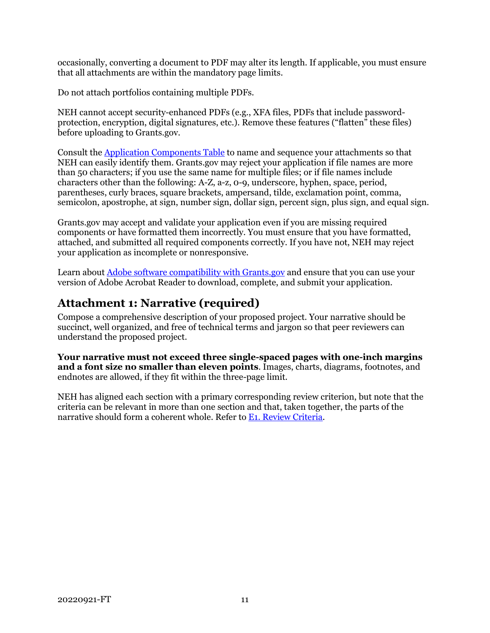occasionally, converting a document to PDF may alter its length. If applicable, you must ensure that all attachments are within the mandatory page limits.

Do not attach portfolios containing multiple PDFs.

NEH cannot accept security-enhanced PDFs (e.g., XFA files, PDFs that include passwordprotection, encryption, digital signatures, etc.). Remove these features ("flatten" these files) before uploading to Grants.gov.

Consult the [Application Components Table](#page-10-0) to name and sequence your attachments so that NEH can easily identify them. Grants.gov may reject your application if file names are more than 50 characters; if you use the same name for multiple files; or if file names include characters other than the following: A-Z, a-z, 0-9, underscore, hyphen, space, period, parentheses, curly braces, square brackets, ampersand, tilde, exclamation point, comma, semicolon, apostrophe, at sign, number sign, dollar sign, percent sign, plus sign, and equal sign.

Grants.gov may accept and validate your application even if you are missing required components or have formatted them incorrectly. You must ensure that you have formatted, attached, and submitted all required components correctly. If you have not, NEH may reject your application as incomplete or nonresponsive.

Learn abou[t Adobe software compatibility with Grants.gov](https://www.grants.gov/web/grants/applicants/adobe-software-compatibility.html) and ensure that you can use your version of Adobe Acrobat Reader to download, complete, and submit your application.

### <span id="page-13-0"></span>**Attachment 1: Narrative (required)**

Compose a comprehensive description of your proposed project. Your narrative should be succinct, well organized, and free of technical terms and jargon so that peer reviewers can understand the proposed project.

**Your narrative must not exceed three single-spaced pages with one-inch margins and a font size no smaller than eleven points**. Images, charts, diagrams, footnotes, and endnotes are allowed, if they fit within the three-page limit.

NEH has aligned each section with a primary corresponding review criterion, but note that the criteria can be relevant in more than one section and that, taken together, the parts of the narrative should form a coherent whole. Refer to [E1. Review Criteria.](#page-20-1)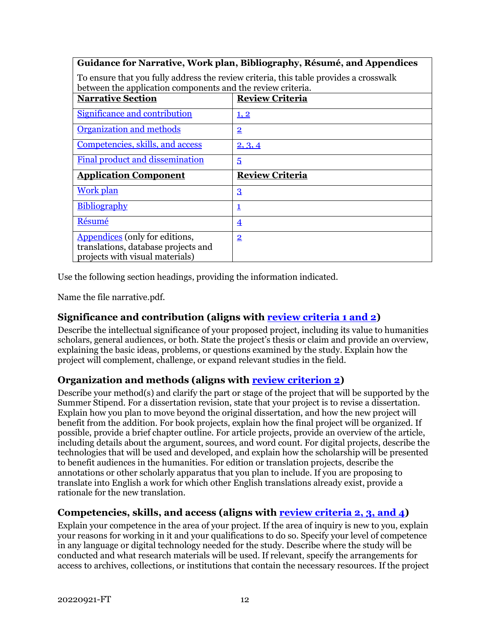#### **Guidance for Narrative, Work plan, Bibliography, Résumé, and Appendices**

To ensure that you fully address the review criteria, this table provides a crosswalk between the application components and the review criteria.

| between the application components and the fevrew chiterial            |                        |  |
|------------------------------------------------------------------------|------------------------|--|
| <b>Narrative Section</b>                                               | <b>Review Criteria</b> |  |
| Significance and contribution                                          | 1, 2                   |  |
|                                                                        |                        |  |
| Organization and methods                                               | $\overline{2}$         |  |
| Competencies, skills, and access                                       | 2, 3, 4                |  |
| Final product and dissemination                                        | 5                      |  |
|                                                                        |                        |  |
| <b>Application Component</b>                                           | <b>Review Criteria</b> |  |
| <b>Work plan</b>                                                       | $\overline{3}$         |  |
|                                                                        |                        |  |
| <b>Bibliography</b>                                                    | $\mathbf 1$            |  |
|                                                                        |                        |  |
| Résumé                                                                 | $\overline{4}$         |  |
| Appendices (only for editions,                                         | $\overline{2}$         |  |
|                                                                        |                        |  |
|                                                                        |                        |  |
| translations, database projects and<br>projects with visual materials) |                        |  |

Use the following section headings, providing the information indicated.

Name the file narrative.pdf.

#### **Significance and contribution (aligns with [review criteria 1 and 2\)](#page-20-1)**

Describe the intellectual significance of your proposed project, including its value to humanities scholars, general audiences, or both. State the project's thesis or claim and provide an overview, explaining the basic ideas, problems, or questions examined by the study. Explain how the project will complement, challenge, or expand relevant studies in the field.

#### **Organization and methods (aligns with [review criterion 2\)](#page-20-1)**

Describe your method(s) and clarify the part or stage of the project that will be supported by the Summer Stipend. For a dissertation revision, state that your project is to revise a dissertation. Explain how you plan to move beyond the original dissertation, and how the new project will benefit from the addition. For book projects, explain how the final project will be organized. If possible, provide a brief chapter outline. For article projects, provide an overview of the article, including details about the argument, sources, and word count. For digital projects, describe the technologies that will be used and developed, and explain how the scholarship will be presented to benefit audiences in the humanities. For edition or translation projects, describe the annotations or other scholarly apparatus that you plan to include. If you are proposing to translate into English a work for which other English translations already exist, provide a rationale for the new translation.

#### <span id="page-14-0"></span>**Competencies, skills, and access (aligns with [review criteria 2, 3, and 4\)](#page-20-1)**

Explain your competence in the area of your project. If the area of inquiry is new to you, explain your reasons for working in it and your qualifications to do so. Specify your level of competence in any language or digital technology needed for the study. Describe where the study will be conducted and what research materials will be used. If relevant, specify the arrangements for access to archives, collections, or institutions that contain the necessary resources. If the project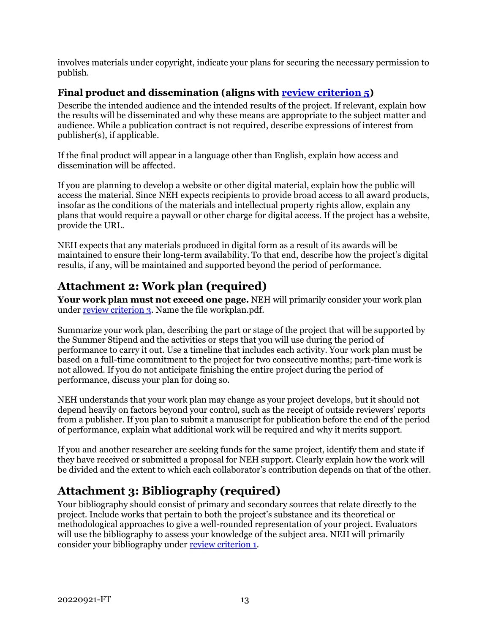involves materials under copyright, indicate your plans for securing the necessary permission to publish.

#### **Final product and dissemination (aligns with [review criterion 5\)](#page-20-1)**

Describe the intended audience and the intended results of the project. If relevant, explain how the results will be disseminated and why these means are appropriate to the subject matter and audience. While a publication contract is not required, describe expressions of interest from publisher(s), if applicable.

If the final product will appear in a language other than English, explain how access and dissemination will be affected.

If you are planning to develop a website or other digital material, explain how the public will access the material. Since NEH expects recipients to provide broad access to all award products, insofar as the conditions of the materials and intellectual property rights allow, explain any plans that would require a paywall or other charge for digital access. If the project has a website, provide the URL.

NEH expects that any materials produced in digital form as a result of its awards will be maintained to ensure their long-term availability. To that end, describe how the project's digital results, if any, will be maintained and supported beyond the period of performance.

### <span id="page-15-0"></span>**Attachment 2: Work plan (required)**

**Your work plan must not exceed one page.** NEH will primarily consider your work plan unde[r review criterion 3.](#page-20-1) Name the file workplan.pdf.

Summarize your work plan, describing the part or stage of the project that will be supported by the Summer Stipend and the activities or steps that you will use during the period of performance to carry it out. Use a timeline that includes each activity. Your work plan must be based on a full-time commitment to the project for two consecutive months; part-time work is not allowed. If you do not anticipate finishing the entire project during the period of performance, discuss your plan for doing so.

NEH understands that your work plan may change as your project develops, but it should not depend heavily on factors beyond your control, such as the receipt of outside reviewers' reports from a publisher. If you plan to submit a manuscript for publication before the end of the period of performance, explain what additional work will be required and why it merits support.

If you and another researcher are seeking funds for the same project, identify them and state if they have received or submitted a proposal for NEH support. Clearly explain how the work will be divided and the extent to which each collaborator's contribution depends on that of the other.

## <span id="page-15-1"></span>**Attachment 3: Bibliography (required)**

Your bibliography should consist of primary and secondary sources that relate directly to the project. Include works that pertain to both the project's substance and its theoretical or methodological approaches to give a well-rounded representation of your project. Evaluators will use the bibliography to assess your knowledge of the subject area. NEH will primarily consider your bibliography under [review criterion 1.](#page-20-1)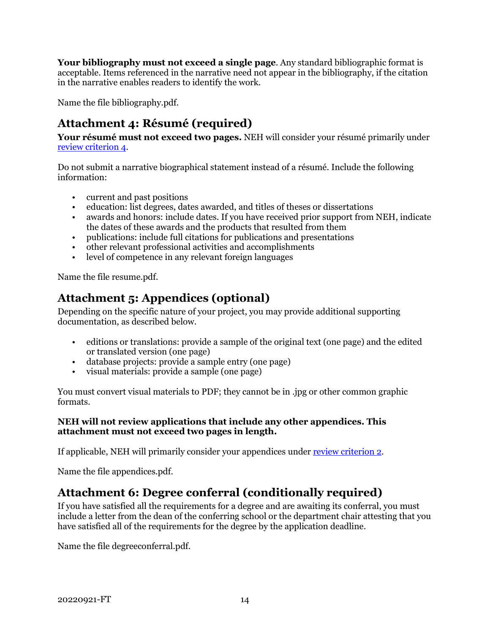**Your bibliography must not exceed a single page**. Any standard bibliographic format is acceptable. Items referenced in the narrative need not appear in the bibliography, if the citation in the narrative enables readers to identify the work.

<span id="page-16-1"></span>Name the file bibliography.pdf.

### **Attachment 4: Résumé (required)**

**Your résumé must not exceed two pages.** NEH will consider your résumé primarily under [review criterion 4.](#page-20-1)

Do not submit a narrative biographical statement instead of a résumé. Include the following information:

- current and past positions
- education: list degrees, dates awarded, and titles of theses or dissertations
- awards and honors: include dates. If you have received prior support from NEH, indicate the dates of these awards and the products that resulted from them
- publications: include full citations for publications and presentations
- other relevant professional activities and accomplishments
- level of competence in any relevant foreign languages

Name the file resume.pdf.

### <span id="page-16-0"></span>**Attachment 5: Appendices (optional)**

Depending on the specific nature of your project, you may provide additional supporting documentation, as described below.

- editions or translations: provide a sample of the original text (one page) and the edited or translated version (one page)
- database projects: provide a sample entry (one page)
- visual materials: provide a sample (one page)

You must convert visual materials to PDF; they cannot be in .jpg or other common graphic formats.

#### **NEH will not review applications that include any other appendices. This attachment must not exceed two pages in length.**

If applicable, NEH will primarily consider your appendices under [review criterion 2.](#page-20-1)

Name the file appendices.pdf.

### **Attachment 6: Degree conferral (conditionally required)**

If you have satisfied all the requirements for a degree and are awaiting its conferral, you must include a letter from the dean of the conferring school or the department chair attesting that you have satisfied all of the requirements for the degree by the application deadline.

Name the file degreeconferral.pdf.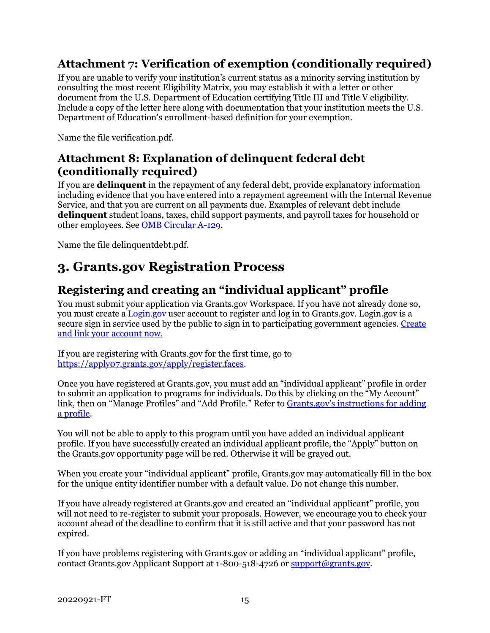### <span id="page-17-1"></span>**Attachment 7: Verification of exemption (conditionally required)**

If you are unable to verify your institution's current status as a minority serving institution by consulting the most recent Eligibility Matrix, you may establish it with a letter or other document from the U.S. Department of Education certifying Title III and Title V eligibility. Include a copy of the letter here along with documentation that your institution meets the U.S. Department of Education's enrollment-based definition for your exemption.

Name the file verification.pdf.

### **Attachment 8: Explanation of delinquent federal debt (conditionally required)**

If you are **delinquent** in the repayment of any federal debt, provide explanatory information including evidence that you have entered into a repayment agreement with the Internal Revenue Service, and that you are current on all payments due. Examples of relevant debt include **delinquent** student loans, taxes, child support payments, and payroll taxes for household or other employees. See [OMB Circular A-129.](https://www.whitehouse.gov/sites/whitehouse.gov/files/omb/circulars/A129/a-129.pdf)

Name the file delinquentdebt.pdf.

## <span id="page-17-0"></span>**3. Grants.gov Registration Process**

### **Registering and creating an "individual applicant" profile**

You must submit your application via Grants.gov Workspace. If you have not already done so, you must create a [Login.gov](https://www.login.gov/) user account to register and log in to Grants.gov. Login.gov is a secure sign in service used by the public to sign in to participating government agencies. [Create](https://grantsgovprod.wordpress.com/2020/10/08/new-sign-in-to-grants-gov-with-your-login-gov-credentials/)  [and link your account now.](https://grantsgovprod.wordpress.com/2020/10/08/new-sign-in-to-grants-gov-with-your-login-gov-credentials/)

If you are registering with Grants.gov for the first time, go to [https://apply07.grants.gov/apply/register.faces.](https://apply07.grants.gov/apply/register.faces)

Once you have registered at Grants.gov, you must add an "individual applicant" profile in order to submit an application to programs for individuals. Do this by clicking on the "My Account" link, then on "Manage Profiles" and "Add Profile." Refer to Grants.gov's instructions for adding [a profile.](https://www.grants.gov/help/html/help/index.htm?callingApp=custom#t=Register%2FAddProfile.htm)

You will not be able to apply to this program until you have added an individual applicant profile. If you have successfully created an individual applicant profile, the "Apply" button on the Grants.gov opportunity page will be red. Otherwise it will be grayed out.

When you create your "individual applicant" profile, Grants.gov may automatically fill in the box for the unique entity identifier number with a default value. Do not change this number.

If you have already registered at Grants.gov and created an "individual applicant" profile, you will not need to re-register to submit your proposals. However, we encourage you to check your account ahead of the deadline to confirm that it is still active and that your password has not expired.

If you have problems registering with Grants.gov or adding an "individual applicant" profile, contact Grants.gov Applicant Support at 1-800-518-4726 o[r support@grants.gov.](mailto:support@grants.gov)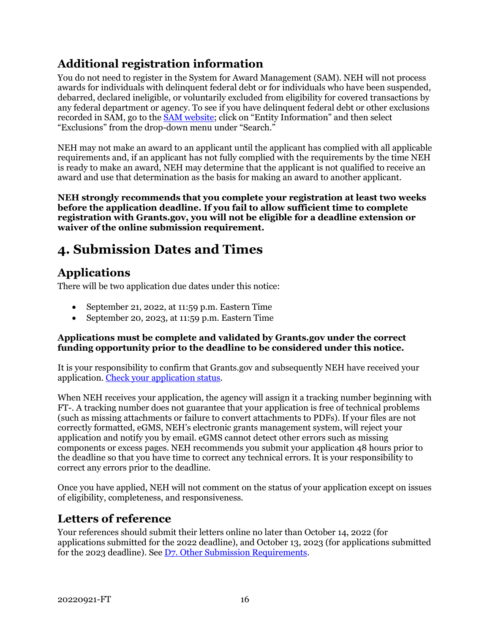## **Additional registration information**

You do not need to register in the System for Award Management (SAM). NEH will not process awards for individuals with delinquent federal debt or for individuals who have been suspended, debarred, declared ineligible, or voluntarily excluded from eligibility for covered transactions by any federal department or agency. To see if you have delinquent federal debt or other exclusions recorded in SAM, go to the **SAM** website; click on "Entity Information" and then select "Exclusions" from the drop-down menu under "Search."

NEH may not make an award to an applicant until the applicant has complied with all applicable requirements and, if an applicant has not fully complied with the requirements by the time NEH is ready to make an award, NEH may determine that the applicant is not qualified to receive an award and use that determination as the basis for making an award to another applicant.

**NEH strongly recommends that you complete your registration at least two weeks before the application deadline. If you fail to allow sufficient time to complete registration with Grants.gov, you will not be eligible for a deadline extension or waiver of the online submission requirement.**

## <span id="page-18-0"></span>**4. Submission Dates and Times**

## **Applications**

There will be two application due dates under this notice:

- September 21, 2022, at 11:59 p.m. Eastern Time
- September 20, 2023, at 11:59 p.m. Eastern Time

#### **Applications must be complete and validated by Grants.gov under the correct funding opportunity prior to the deadline to be considered under this notice.**

It is your responsibility to confirm that Grants.gov and subsequently NEH have received your application. [Check your application status.](https://www.grants.gov/help/html/help/Applicants/CheckApplicationStatus/CheckApplicationStatus.htm)

When NEH receives your application, the agency will assign it a tracking number beginning with FT-. A tracking number does not guarantee that your application is free of technical problems (such as missing attachments or failure to convert attachments to PDFs). If your files are not correctly formatted, eGMS, NEH's electronic grants management system, will reject your application and notify you by email. eGMS cannot detect other errors such as missing components or excess pages. NEH recommends you submit your application 48 hours prior to the deadline so that you have time to correct any technical errors. It is your responsibility to correct any errors prior to the deadline.

Once you have applied, NEH will not comment on the status of your application except on issues of eligibility, completeness, and responsiveness.

### **Letters of reference**

Your references should submit their letters online no later than October 14, 2022 (for applications submitted for the 2022 deadline), and October 13, 2023 (for applications submitted for the 2023 deadline). See  $D7$ . Other Submission Requirements.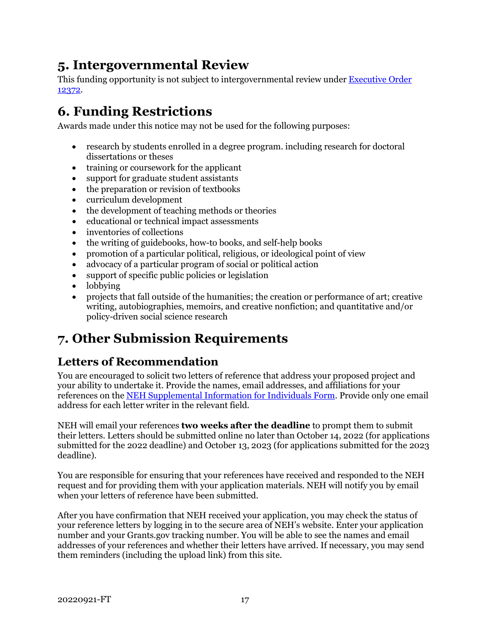## <span id="page-19-0"></span>**5. Intergovernmental Review**

This funding opportunity is not subject to intergovernmental review under Executive Order [12372.](https://www.archives.gov/federal-register/codification/executive-order/12372.html)

## <span id="page-19-1"></span>**6. Funding Restrictions**

Awards made under this notice may not be used for the following purposes:

- research by students enrolled in a degree program. including research for doctoral dissertations or theses
- training or coursework for the applicant
- support for graduate student assistants
- the preparation or revision of textbooks
- curriculum development
- the development of teaching methods or theories
- educational or technical impact assessments
- inventories of collections
- the writing of guidebooks, how-to books, and self-help books
- promotion of a particular political, religious, or ideological point of view
- advocacy of a particular program of social or political action
- support of specific public policies or legislation
- lobbying
- projects that fall outside of the humanities; the creation or performance of art; creative writing, autobiographies, memoirs, and creative nonfiction; and quantitative and/or policy-driven social science research

## <span id="page-19-2"></span>**7. Other Submission Requirements**

### **Letters of Recommendation**

You are encouraged to solicit two letters of reference that address your proposed project and your ability to undertake it. Provide the names, email addresses, and affiliations for your references on the [NEH Supplemental Information for Individuals Form.](#page-11-0) Provide only one email address for each letter writer in the relevant field.

NEH will email your references **two weeks after the deadline** to prompt them to submit their letters. Letters should be submitted online no later than October 14, 2022 (for applications submitted for the 2022 deadline) and October 13, 2023 (for applications submitted for the 2023 deadline).

You are responsible for ensuring that your references have received and responded to the NEH request and for providing them with your application materials. NEH will notify you by email when your letters of reference have been submitted.

After you have confirmation that NEH received your application, you may check the status of your reference letters by logging in to the [secure area of NEH's website.](https://securegrants.neh.gov/AppStatus/) Enter your application number and your Grants.gov tracking number. You will be able to see the names and email addresses of your references and whether their letters have arrived. If necessary, you may send them reminders (including the upload link) from this site.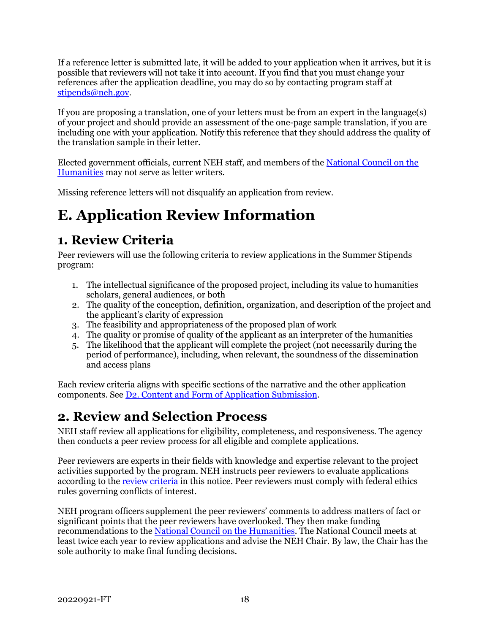If a reference letter is submitted late, it will be added to your application when it arrives, but it is possible that reviewers will not take it into account. If you find that you must change your references after the application deadline, you may do so by contacting program staff at [stipends@neh.gov.](mailto:stipends@neh.gov)

If you are proposing a translation, one of your letters must be from an expert in the language(s) of your project and should provide an assessment of the one-page sample translation, if you are including one with your application. Notify this reference that they should address the quality of the translation sample in their letter.

Elected government officials, current NEH staff, and members of the [National Council on the](https://www.neh.gov/about/national-council-on-the-humanities)  [Humanities](https://www.neh.gov/about/national-council-on-the-humanities) may not serve as letter writers.

Missing reference letters will not disqualify an application from review.

# <span id="page-20-0"></span>**E. Application Review Information**

## <span id="page-20-1"></span>**1. Review Criteria**

Peer reviewers will use the following criteria to review applications in the Summer Stipends program:

- 1. The intellectual significance of the proposed project, including its value to humanities scholars, general audiences, or both
- 2. The quality of the conception, definition, organization, and description of the project and the applicant's clarity of expression
- 3. The feasibility and appropriateness of the proposed plan of work
- 4. The quality or promise of quality of the applicant as an interpreter of the humanities
- <span id="page-20-2"></span>5. The likelihood that the applicant will complete the project (not necessarily during the period of performance), including, when relevant, the soundness of the dissemination and access plans

Each review criteria aligns with specific sections of the narrative and the other application components. See D2. Content and Form of Application Submission.

## **2. Review and Selection Process**

NEH staff review all applications for eligibility, completeness, and responsiveness. The agency then conducts a peer review process for all eligible and complete applications.

Peer reviewers are experts in their fields with knowledge and expertise relevant to the project activities supported by the program. NEH instructs peer reviewers to evaluate applications according to the [review criteria](#page-20-1) in this notice. Peer reviewers must comply with federal ethics rules governing conflicts of interest.

NEH program officers supplement the peer reviewers' comments to address matters of fact or significant points that the peer reviewers have overlooked. They then make funding recommendations to the [National Council on the Humanities.](https://www.neh.gov/about/national-council-on-the-humanities) The National Council meets at least twice each year to review applications and advise the NEH Chair. By law, the Chair has the sole authority to make final funding decisions.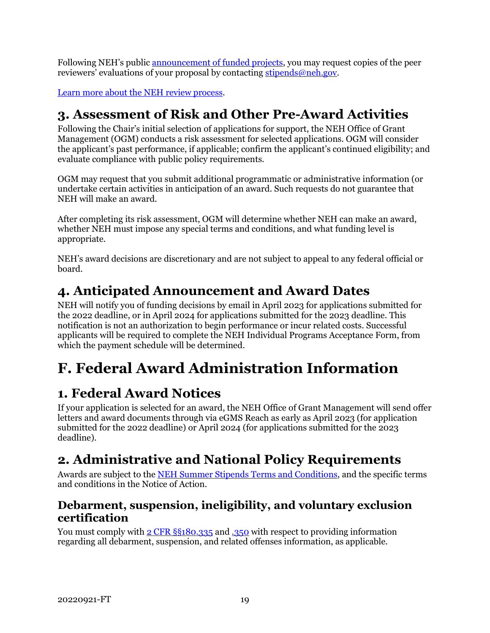Following NEH's public announcement of funded projects, you may request copies of the peer reviewers' evaluations of your proposal by contactin[g stipends@neh.gov.](mailto:stipends@neh.gov)

[Learn more about the NEH review process.](https://www.neh.gov/grants/application-process)

## <span id="page-21-0"></span>**3. Assessment of Risk and Other Pre-Award Activities**

Following the Chair's initial selection of applications for support, the NEH Office of Grant Management (OGM) conducts a risk assessment for selected applications. OGM will consider the applicant's past performance, if applicable; confirm the applicant's continued eligibility; and evaluate compliance with public policy requirements.

OGM may request that you submit additional programmatic or administrative information (or undertake certain activities in anticipation of an award. Such requests do not guarantee that NEH will make an award.

After completing its risk assessment, OGM will determine whether NEH can make an award, whether NEH must impose any special terms and conditions, and what funding level is appropriate.

NEH's award decisions are discretionary and are not subject to appeal to any federal official or board.

## <span id="page-21-1"></span>**4. Anticipated Announcement and Award Dates**

NEH will notify you of funding decisions by email in April 2023 for applications submitted for the 2022 deadline, or in April 2024 for applications submitted for the 2023 deadline. This notification is not an authorization to begin performance or incur related costs. Successful applicants will be required to complete the NEH Individual Programs Acceptance Form, from which the payment schedule will be determined.

# <span id="page-21-2"></span>**F. Federal Award Administration Information**

## <span id="page-21-3"></span>**1. Federal Award Notices**

If your application is selected for an award, the NEH Office of Grant Management will send offer letters and award documents through via eGMS Reach as early as April 2023 (for application submitted for the 2022 deadline) or April 2024 (for applications submitted for the 2023 deadline).

## <span id="page-21-4"></span>**2. Administrative and National Policy Requirements**

Awards are subject to the [NEH Summer Stipends Terms and Conditions,](https://www.neh.gov/grants/manage/neh-summer-stipends-terms-and-conditions) and the specific terms and conditions in the Notice of Action.

### **Debarment, suspension, ineligibility, and voluntary exclusion certification**

You must comply with [2 CFR §§180.335](https://www.ecfr.gov/cgi-bin/text-idx?node=2:1.1.1.2.9.3.3.8&rgn=div8) an[d .350](https://www.ecfr.gov/cgi-bin/text-idx?SID=8484a1410effbe760bcb6b134d9c035a&mc=true&node=pt2.1.180&rgn=div5#se2.1.180_1350) with respect to providing information regarding all debarment, suspension, and related offenses information, as applicable.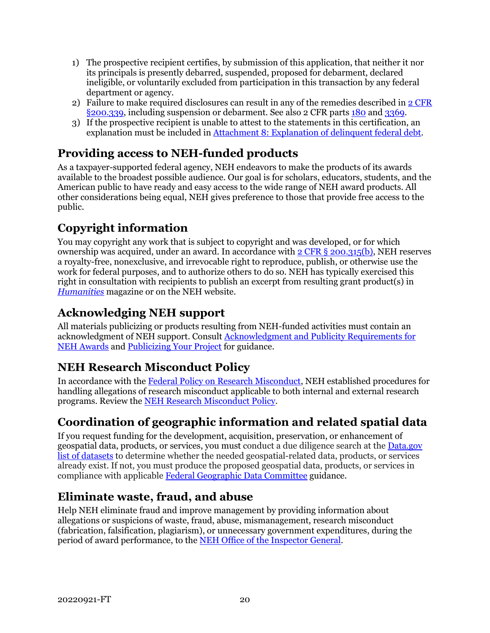- 1) The prospective recipient certifies, by submission of this application, that neither it nor its principals is presently debarred, suspended, proposed for debarment, declared ineligible, or voluntarily excluded from participation in this transaction by any federal department or agency.
- 2) Failure to make required disclosures can result in any of the remedies described in [2 CFR](https://www.ecfr.gov/cgi-bin/text-idx?SID=2262ad9c20e9d3a49f2c569c773c8aa1&mc=true&node=pt2.1.200&rgn=div5#se2.1.200_1339)  [§200.339,](https://www.ecfr.gov/cgi-bin/text-idx?SID=2262ad9c20e9d3a49f2c569c773c8aa1&mc=true&node=pt2.1.200&rgn=div5#se2.1.200_1339) including suspension or debarment. See also 2 CFR parts [180](https://www.ecfr.gov/cgi-bin/text-idx?tpl=/ecfrbrowse/Title02/2cfr180_main_02.tpl) and [3369.](https://www.ecfr.gov/cgi-bin/text-idx?SID=902a748402bef7d8543f27adaf553773&mc=true&node=pt2.1.3369&rgn=div5)
- 3) If the prospective recipient is unable to attest to the statements in this certification, an explanation must be included in [Attachment 8: Explanation of delinquent federal debt.](#page-17-1)

## **Providing access to NEH-funded products**

As a taxpayer-supported federal agency, NEH endeavors to make the products of its awards available to the broadest possible audience. Our goal is for scholars, educators, students, and the American public to have ready and easy access to the wide range of NEH award products. All other considerations being equal, NEH gives preference to those that provide free access to the public.

## **Copyright information**

You may copyright any work that is subject to copyright and was developed, or for which ownership was acquired, under an award. In accordance with  $2$  CFR § 200.315(b), NEH reserves a royalty-free, nonexclusive, and irrevocable right to reproduce, publish, or otherwise use the work for federal purposes, and to authorize others to do so. NEH has typically exercised this right in consultation with recipients to publish an excerpt from resulting grant product(s) in *[Humanities](https://www.neh.gov/humanities)* magazine or on the NEH website.

## **Acknowledging NEH support**

All materials publicizing or products resulting from NEH-funded activities must contain an acknowledgment of NEH support. Consult [Acknowledgment and Publicity Requirements for](https://www.neh.gov/grants/manage/acknowledgment-and-publicity-requirements-neh-awards)  [NEH Awards](https://www.neh.gov/grants/manage/acknowledgment-and-publicity-requirements-neh-awards) and [Publicizing Your Project](https://www.neh.gov/grants/manage/publicizing-your-project) for guidance.

## **NEH Research Misconduct Policy**

In accordance with the [Federal Policy on Research Misconduct,](https://www.federalregister.gov/documents/2000/12/06/00-30852/executive-office-of-the-president-federal-policy-on-research-misconduct-preamble-for-research) NEH established procedures for handling allegations of research misconduct applicable to both internal and external research programs. Review the [NEH Research Misconduct Policy.](http://www.neh.gov/grants/manage/research-misconduct-policy)

## **Coordination of geographic information and related spatial data**

If you request funding for the development, acquisition, preservation, or enhancement of geospatial data, products, or services, you must conduct a due diligence search at th[e Data.gov](https://catalog.data.gov/dataset)  [list of datasets](https://catalog.data.gov/dataset) to determine whether the needed geospatial-related data, products, or services already exist. If not, you must produce the proposed geospatial data, products, or services in compliance with applicable [Federal Geographic Data Committee](http://www.fgdc.gov/) guidance.

## **Eliminate waste, fraud, and abuse**

Help NEH eliminate fraud and improve management by providing information about allegations or suspicions of waste, fraud, abuse, mismanagement, research misconduct (fabrication, falsification, plagiarism), or unnecessary government expenditures, during the period of award performance, to the [NEH Office of the Inspector General.](https://www.neh.gov/about/oig)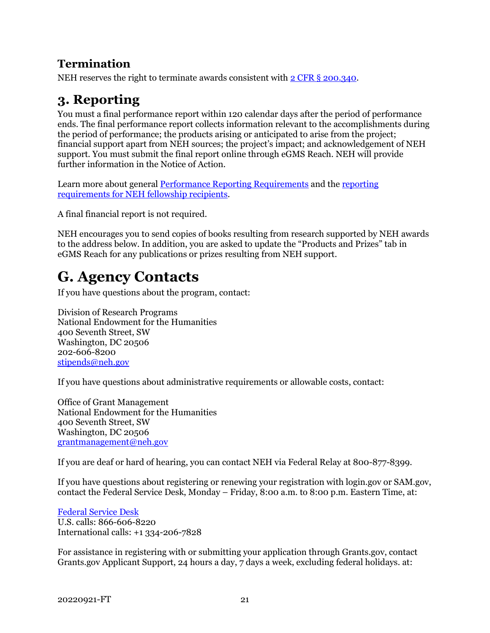### **Termination**

<span id="page-23-0"></span>NEH reserves the right to terminate awards consistent with 2 CFR § [200.340.](https://www.ecfr.gov/cgi-bin/text-idx?SID=4eaffe984905bd3954347ba4972872ee&mc=true&node=pt2.1.200&rgn=div5#se2.1.200_1340)

## **3. Reporting**

You must a final performance report within 120 calendar days after the period of performance ends. The final performance report collects information relevant to the accomplishments during the period of performance; the products arising or anticipated to arise from the project; financial support apart from NEH sources; the project's impact; and acknowledgement of NEH support. You must submit the final report online through eGMS Reach. NEH will provide further information in the Notice of Action.

Learn more about general [Performance Reporting Requirements](https://www.neh.gov/grants/manage/performance-reporting-requirements) and the [reporting](https://www.neh.gov/grants/manage/instructions-submitting-the-final-performance-report-neh-fellowships-faculty-research)  [requirements for NEH fellowship recipients.](https://www.neh.gov/grants/manage/instructions-submitting-the-final-performance-report-neh-fellowships-faculty-research)

A final financial report is not required.

NEH encourages you to send copies of books resulting from research supported by NEH awards to the address below. In addition, you are asked to update the "Products and Prizes" tab in eGMS Reach for any publications or prizes resulting from NEH support.

# <span id="page-23-1"></span>**G. Agency Contacts**

If you have questions about the program, contact:

Division of Research Programs National Endowment for the Humanities 400 Seventh Street, SW Washington, DC 20506 202-606-8200 [stipends@neh.gov](mailto:stipends@neh.gov)

If you have questions about administrative requirements or allowable costs, contact:

Office of Grant Management National Endowment for the Humanities 400 Seventh Street, SW Washington, DC 20506 [grantmanagement@neh.gov](mailto:grantmanagement@neh.gov)

If you are deaf or hard of hearing, you can contact NEH via Federal Relay at 800-877-8399.

If you have questions about registering or renewing your registration with login.gov or SAM.gov, contact the Federal Service Desk, Monday – Friday, 8:00 a.m. to 8:00 p.m. Eastern Time, at:

[Federal Service Desk](https://www.fsd.gov/fsd-gov/home.do) U.S. calls: 866-606-8220 International calls: +1 334-206-7828

For assistance in registering with or submitting your application through Grants.gov, contact Grants.gov Applicant Support, 24 hours a day, 7 days a week, excluding federal holidays. at: